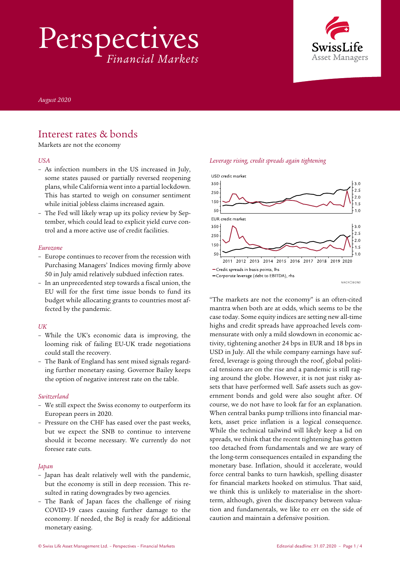Perspectives *Financial Markets*



*August 2020* 

## Interest rates & bonds

Markets are not the economy

#### *USA*

- As infection numbers in the US increased in July, some states paused or partially reversed reopening plans, while California went into a partial lockdown. This has started to weigh on consumer sentiment while initial jobless claims increased again.
- The Fed will likely wrap up its policy review by September, which could lead to explicit yield curve control and a more active use of credit facilities.

#### *Eurozone*

- Europe continues to recover from the recession with Purchasing Managers' Indices moving firmly above 50 in July amid relatively subdued infection rates.
- In an unprecedented step towards a fiscal union, the EU will for the first time issue bonds to fund its budget while allocating grants to countries most affected by the pandemic.

#### *UK*

- While the UK's economic data is improving, the looming risk of failing EU-UK trade negotiations could stall the recovery.
- The Bank of England has sent mixed signals regarding further monetary easing. Governor Bailey keeps the option of negative interest rate on the table.

#### *Switzerland*

- We still expect the Swiss economy to outperform its European peers in 2020.
- Pressure on the CHF has eased over the past weeks, but we expect the SNB to continue to intervene should it become necessary. We currently do not foresee rate cuts.

#### *Japan*

- Japan has dealt relatively well with the pandemic, but the economy is still in deep recession. This resulted in rating downgrades by two agencies.
- The Bank of Japan faces the challenge of rising COVID-19 cases causing further damage to the economy. If needed, the BoJ is ready for additional monetary easing.



"The markets are not the economy" is an often-cited mantra when both are at odds, which seems to be the case today. Some equity indices are setting new all-time highs and credit spreads have approached levels commensurate with only a mild slowdown in economic activity, tightening another 24 bps in EUR and 18 bps in USD in July. All the while company earnings have suffered, leverage is going through the roof, global political tensions are on the rise and a pandemic is still raging around the globe. However, it is not just risky assets that have performed well. Safe assets such as government bonds and gold were also sought after. Of course, we do not have to look far for an explanation. When central banks pump trillions into financial markets, asset price inflation is a logical consequence. While the technical tailwind will likely keep a lid on spreads, we think that the recent tightening has gotten too detached from fundamentals and we are wary of the long-term consequences entailed in expanding the monetary base. Inflation, should it accelerate, would force central banks to turn hawkish, spelling disaster for financial markets hooked on stimulus. That said, we think this is unlikely to materialise in the shortterm, although, given the discrepancy between valuation and fundamentals, we like to err on the side of caution and maintain a defensive position.

#### *Leverage rising, credit spreads again tightening*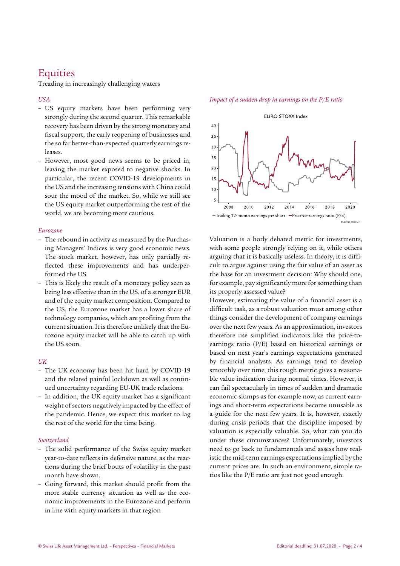# **Equities**

Treading in increasingly challenging waters

#### *USA*

- US equity markets have been performing very strongly during the second quarter. This remarkable recovery has been driven by the strong monetary and fiscal support, the early reopening of businesses and the so far better-than-expected quarterly earnings releases.
- However, most good news seems to be priced in, leaving the market exposed to negative shocks. In particular, the recent COVID-19 developments in the US and the increasing tensions with China could sour the mood of the market. So, while we still see the US equity market outperforming the rest of the world, we are becoming more cautious.

#### *Eurozone*

- The rebound in activity as measured by the Purchasing Managers' Indices is very good economic news. The stock market, however, has only partially reflected these improvements and has underperformed the US.
- This is likely the result of a monetary policy seen as being less effective than in the US, of a stronger EUR and of the equity market composition. Compared to the US, the Eurozone market has a lower share of technology companies, which are profiting from the current situation. It is therefore unlikely that the Eurozone equity market will be able to catch up with the US soon.

#### *UK*

- The UK economy has been hit hard by COVID-19 and the related painful lockdown as well as continued uncertainty regarding EU-UK trade relations.
- In addition, the UK equity market has a significant weight of sectors negatively impacted by the effect of the pandemic. Hence, we expect this market to lag the rest of the world for the time being.

#### *Switzerland*

- The solid performance of the Swiss equity market year-to-date reflects its defensive nature, as the reactions during the brief bouts of volatility in the past month have shown.
- Going forward, this market should profit from the more stable currency situation as well as the economic improvements in the Eurozone and perform in line with equity markets in that region

EURO STOXX Index  $40$ 35 30  $25$  $20$  $15$ 

2008 2010 2012 2014 2016 2018 2020  $-$ Trailing 12-month earnings per share  $-$  Price-to-earnings ratio (P/E)

 $10$ 

MACROROND

Valuation is a hotly debated metric for investments, with some people strongly relying on it, while others arguing that it is basically useless. In theory, it is difficult to argue against using the fair value of an asset as the base for an investment decision: Why should one, for example, pay significantly more for something than its properly assessed value?

However, estimating the value of a financial asset is a difficult task, as a robust valuation must among other things consider the development of company earnings over the next few years. As an approximation, investors therefore use simplified indicators like the price-toearnings ratio (P/E) based on historical earnings or based on next year's earnings expectations generated by financial analysts. As earnings tend to develop smoothly over time, this rough metric gives a reasonable value indication during normal times. However, it can fail spectacularly in times of sudden and dramatic economic slumps as for example now, as current earnings and short-term expectations become unusable as a guide for the next few years. It is, however, exactly during crisis periods that the discipline imposed by valuation is especially valuable. So, what can you do under these circumstances? Unfortunately, investors need to go back to fundamentals and assess how realistic the mid-term earnings expectations implied by the current prices are. In such an environment, simple ratios like the P/E ratio are just not good enough.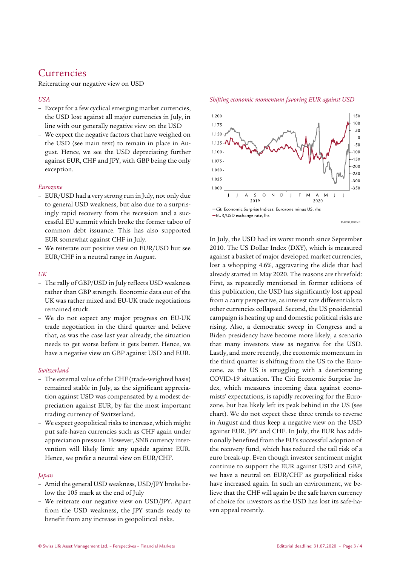## Currencies

Reiterating our negative view on USD

### *USA*

- Except for a few cyclical emerging market currencies, the USD lost against all major currencies in July, in line with our generally negative view on the USD
- We expect the negative factors that have weighed on the USD (see main text) to remain in place in August. Hence, we see the USD depreciating further against EUR, CHF and JPY, with GBP being the only exception.

#### *Eurozone*

- EUR/USD had a very strong run in July, not only due to general USD weakness, but also due to a surprisingly rapid recovery from the recession and a successful EU summit which broke the former taboo of common debt issuance. This has also supported EUR somewhat against CHF in July.
- We reiterate our positive view on EUR/USD but see EUR/CHF in a neutral range in August.

#### *UK*

- The rally of GBP/USD in July reflects USD weakness rather than GBP strength. Economic data out of the UK was rather mixed and EU-UK trade negotiations remained stuck.
- We do not expect any major progress on EU-UK trade negotiation in the third quarter and believe that, as was the case last year already, the situation needs to get worse before it gets better. Hence, we have a negative view on GBP against USD and EUR.

#### *Switzerland*

- The external value of the CHF (trade-weighted basis) remained stable in July, as the significant appreciation against USD was compensated by a modest depreciation against EUR, by far the most important trading currency of Switzerland.
- We expect geopolitical risks to increase, which might put safe-haven currencies such as CHF again under appreciation pressure. However, SNB currency intervention will likely limit any upside against EUR. Hence, we prefer a neutral view on EUR/CHF.

#### *Japan*

- Amid the general USD weakness, USD/JPY broke below the 105 mark at the end of July
- We reiterate our negative view on USD/JPY. Apart from the USD weakness, the JPY stands ready to benefit from any increase in geopolitical risks.



*Shifting economic momentum favoring EUR against USD* 

MACROBOND

In July, the USD had its worst month since September 2010. The US Dollar Index (DXY), which is measured against a basket of major developed market currencies, lost a whopping 4.6%, aggravating the slide that had already started in May 2020. The reasons are threefold: First, as repeatedly mentioned in former editions of this publication, the USD has significantly lost appeal from a carry perspective, as interest rate differentials to other currencies collapsed. Second, the US presidential campaign is heating up and domestic political risks are rising. Also, a democratic sweep in Congress and a Biden presidency have become more likely, a scenario that many investors view as negative for the USD. Lastly, and more recently, the economic momentum in the third quarter is shifting from the US to the Eurozone, as the US is struggling with a deteriorating COVID-19 situation. The Citi Economic Surprise Index, which measures incoming data against economists' expectations, is rapidly recovering for the Eurozone, but has likely left its peak behind in the US (see chart). We do not expect these three trends to reverse in August and thus keep a negative view on the USD against EUR, JPY and CHF. In July, the EUR has additionally benefited from the EU's successful adoption of the recovery fund, which has reduced the tail risk of a euro break-up. Even though investor sentiment might continue to support the EUR against USD and GBP, we have a neutral on EUR/CHF as geopolitical risks have increased again. In such an environment, we believe that the CHF will again be the safe haven currency of choice for investors as the USD has lost its safe-haven appeal recently.